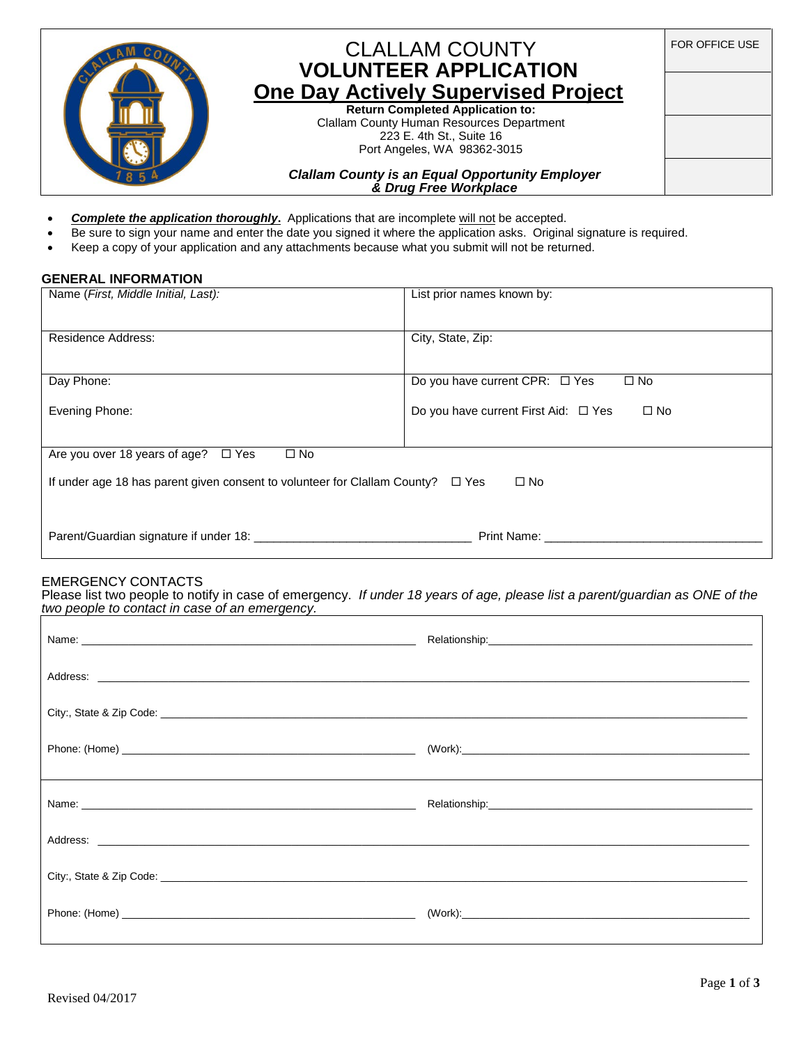

# CLALLAM COUNTY **VOLUNTEER APPLICATION One Day Actively Supervised Project**

**Return Completed Application to:** Clallam County Human Resources Department 223 E. 4th St., Suite 16 Port Angeles, WA 98362-3015

*Clallam County is an Equal Opportunity Employer & Drug Free Workplace*

- *Complete the application thoroughly***.** Applications that are incomplete will not be accepted.
- Be sure to sign your name and enter the date you signed it where the application asks. Original signature is required.
- Keep a copy of your application and any attachments because what you submit will not be returned.

#### **GENERAL INFORMATION**

| Name (First, Middle Initial, Last):                                                                        | List prior names known by:                           |  |  |  |
|------------------------------------------------------------------------------------------------------------|------------------------------------------------------|--|--|--|
| <b>Residence Address:</b>                                                                                  | City, State, Zip:                                    |  |  |  |
| Day Phone:                                                                                                 | Do you have current CPR: □ Yes<br>$\square$ No       |  |  |  |
| Evening Phone:                                                                                             | $\square$ No<br>Do you have current First Aid: □ Yes |  |  |  |
| $\square$ No<br>Are you over 18 years of age? $\Box$ Yes                                                   |                                                      |  |  |  |
| $\square$ No<br>If under age 18 has parent given consent to volunteer for Clallam County?<br>$\square$ Yes |                                                      |  |  |  |
| Parent/Guardian signature if under 18:                                                                     | Print Name:                                          |  |  |  |

## EMERGENCY CONTACTS

Please list two people to notify in case of emergency. *If under 18 years of age, please list a parent/guardian as ONE of the two people to contact in case of an emergency.* 

FOR OFFICE USE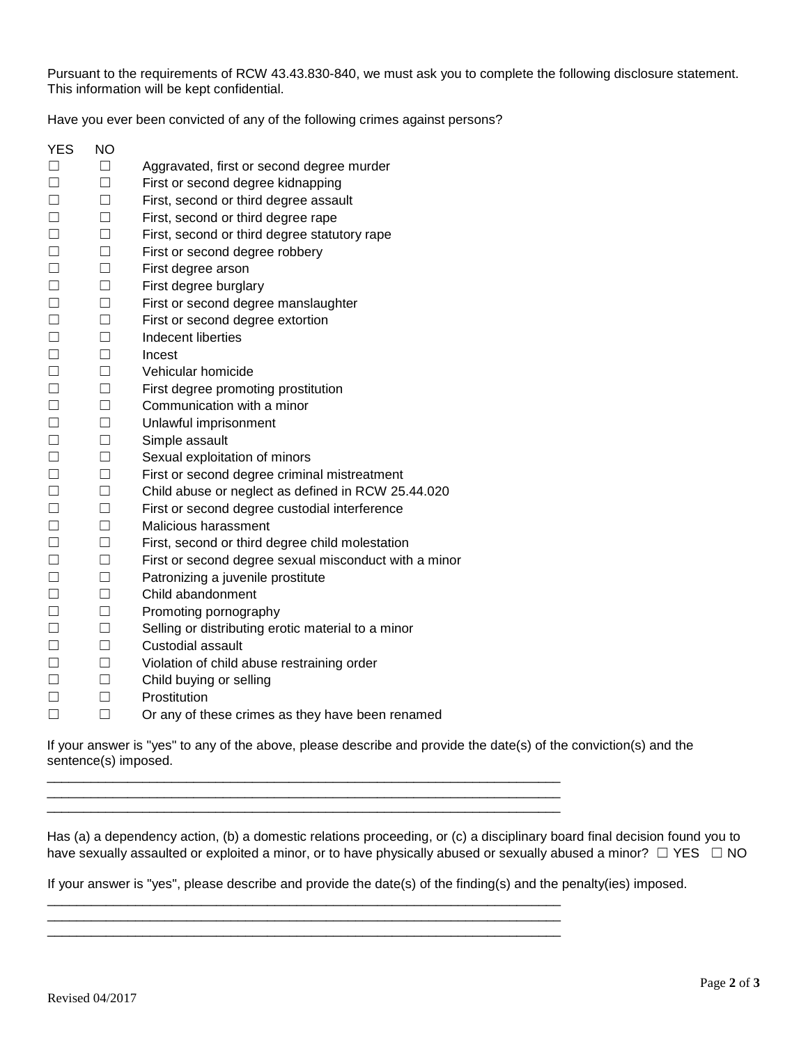Pursuant to the requirements of RCW 43.43.830-840, we must ask you to complete the following disclosure statement. This information will be kept confidential.

Have you ever been convicted of any of the following crimes against persons?

YES NO ☐ ☐ Aggravated, first or second degree murder ☐ ☐ First or second degree kidnapping ☐ ☐ First, second or third degree assault ☐ ☐ First, second or third degree rape ☐ ☐ First, second or third degree statutory rape ☐ ☐ First or second degree robbery ☐ ☐ First degree arson ☐ ☐ First degree burglary ☐ ☐ First or second degree manslaughter ☐ ☐ First or second degree extortion ☐ ☐ Indecent liberties ☐ ☐ Incest ☐ ☐ Vehicular homicide ☐ ☐ First degree promoting prostitution ☐ ☐ Communication with a minor ☐ ☐ Unlawful imprisonment ☐ ☐ Simple assault ☐ ☐ Sexual exploitation of minors ☐ ☐ First or second degree criminal mistreatment ☐ ☐ Child abuse or neglect as defined in RCW 25.44.020 ☐ ☐ First or second degree custodial interference ☐ ☐ Malicious harassment ☐ ☐ First, second or third degree child molestation ☐ ☐ First or second degree sexual misconduct with a minor ☐ ☐ Patronizing a juvenile prostitute ☐ ☐ Child abandonment ☐ ☐ Promoting pornography ☐ ☐ Selling or distributing erotic material to a minor ☐ ☐ Custodial assault ☐ ☐ Violation of child abuse restraining order ☐ ☐ Child buying or selling ☐ ☐ Prostitution ☐ ☐ Or any of these crimes as they have been renamed

If your answer is "yes" to any of the above, please describe and provide the date(s) of the conviction(s) and the sentence(s) imposed.

\_\_\_\_\_\_\_\_\_\_\_\_\_\_\_\_\_\_\_\_\_\_\_\_\_\_\_\_\_\_\_\_\_\_\_\_\_\_\_\_\_\_\_\_\_\_\_\_\_\_\_\_\_\_\_\_\_\_\_\_\_\_\_\_\_\_\_\_\_\_ \_\_\_\_\_\_\_\_\_\_\_\_\_\_\_\_\_\_\_\_\_\_\_\_\_\_\_\_\_\_\_\_\_\_\_\_\_\_\_\_\_\_\_\_\_\_\_\_\_\_\_\_\_\_\_\_\_\_\_\_\_\_\_\_\_\_\_\_\_\_ \_\_\_\_\_\_\_\_\_\_\_\_\_\_\_\_\_\_\_\_\_\_\_\_\_\_\_\_\_\_\_\_\_\_\_\_\_\_\_\_\_\_\_\_\_\_\_\_\_\_\_\_\_\_\_\_\_\_\_\_\_\_\_\_\_\_\_\_\_\_

\_\_\_\_\_\_\_\_\_\_\_\_\_\_\_\_\_\_\_\_\_\_\_\_\_\_\_\_\_\_\_\_\_\_\_\_\_\_\_\_\_\_\_\_\_\_\_\_\_\_\_\_\_\_\_\_\_\_\_\_\_\_\_\_\_\_\_\_\_\_ \_\_\_\_\_\_\_\_\_\_\_\_\_\_\_\_\_\_\_\_\_\_\_\_\_\_\_\_\_\_\_\_\_\_\_\_\_\_\_\_\_\_\_\_\_\_\_\_\_\_\_\_\_\_\_\_\_\_\_\_\_\_\_\_\_\_\_\_\_\_ \_\_\_\_\_\_\_\_\_\_\_\_\_\_\_\_\_\_\_\_\_\_\_\_\_\_\_\_\_\_\_\_\_\_\_\_\_\_\_\_\_\_\_\_\_\_\_\_\_\_\_\_\_\_\_\_\_\_\_\_\_\_\_\_\_\_\_\_\_\_

Has (a) a dependency action, (b) a domestic relations proceeding, or (c) a disciplinary board final decision found you to have sexually assaulted or exploited a minor, or to have physically abused or sexually abused a minor?  $\Box$  YES  $\Box$  NO

If your answer is "yes", please describe and provide the date(s) of the finding(s) and the penalty(ies) imposed.